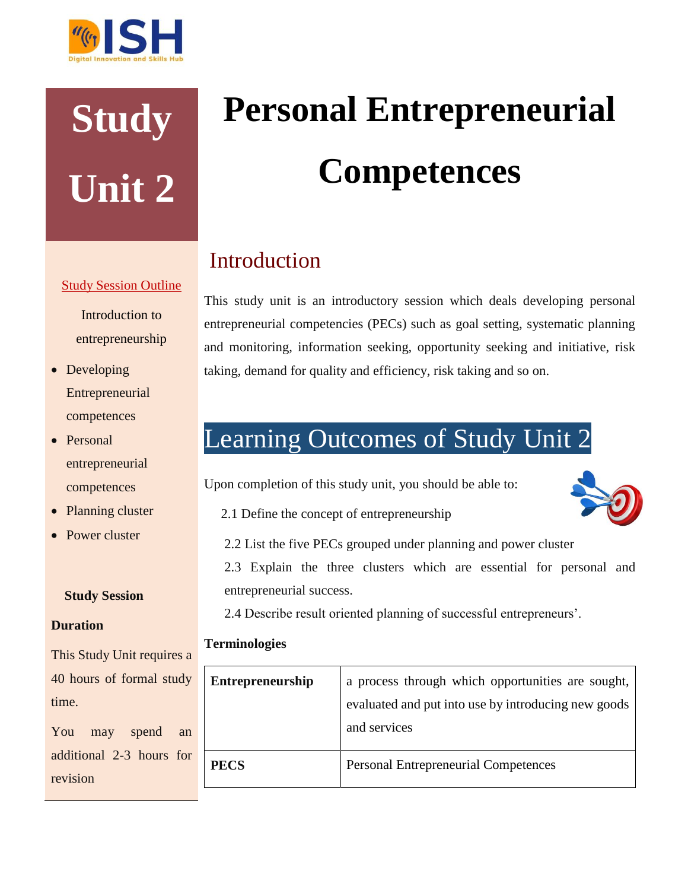

**Study Unit 2**

# Study Session Outline

Introduction to entrepreneurship

- Developing Entrepreneurial competences
- Personal entrepreneurial competences
- Planning cluster
- Power cluster

# **Study Session**

#### **Duration**

This Study Unit requires a 40 hours of formal study time.

You may spend an additional 2-3 hours for revision

# **Personal Entrepreneurial Competences**

# Introduction

This study unit is an introductory session which deals developing personal entrepreneurial competencies (PECs) such as goal setting, systematic planning and monitoring, information seeking, opportunity seeking and initiative, risk taking, demand for quality and efficiency, risk taking and so on.

# Learning Outcomes of Study Unit 2

Upon completion of this study unit, you should be able to:



- 2.1 Define the concept of entrepreneurship
- 2.2 List the five PECs grouped under planning and power cluster
- 2.3 Explain the three clusters which are essential for personal and entrepreneurial success.
- 2.4 Describe result oriented planning of successful entrepreneurs'.

# **Terminologies**

| <b>Entrepreneurship</b> | a process through which opportunities are sought,<br>evaluated and put into use by introducing new goods<br>and services |
|-------------------------|--------------------------------------------------------------------------------------------------------------------------|
| <b>PECS</b>             | <b>Personal Entrepreneurial Competences</b>                                                                              |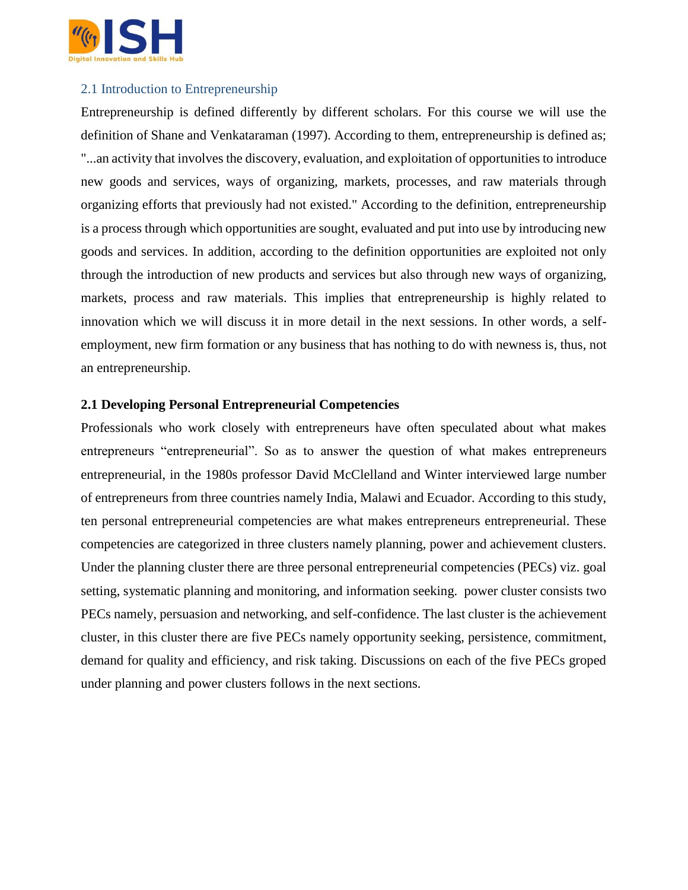

## 2.1 Introduction to Entrepreneurship

Entrepreneurship is defined differently by different scholars. For this course we will use the definition of Shane and Venkataraman (1997). According to them, entrepreneurship is defined as; "...an activity that involves the discovery, evaluation, and exploitation of opportunities to introduce new goods and services, ways of organizing, markets, processes, and raw materials through organizing efforts that previously had not existed." According to the definition, entrepreneurship is a process through which opportunities are sought, evaluated and put into use by introducing new goods and services. In addition, according to the definition opportunities are exploited not only through the introduction of new products and services but also through new ways of organizing, markets, process and raw materials. This implies that entrepreneurship is highly related to innovation which we will discuss it in more detail in the next sessions. In other words, a selfemployment, new firm formation or any business that has nothing to do with newness is, thus, not an entrepreneurship.

#### **2.1 Developing Personal Entrepreneurial Competencies**

Professionals who work closely with entrepreneurs have often speculated about what makes entrepreneurs "entrepreneurial". So as to answer the question of what makes entrepreneurs entrepreneurial, in the 1980s professor David McClelland and Winter interviewed large number of entrepreneurs from three countries namely India, Malawi and Ecuador. According to this study, ten personal entrepreneurial competencies are what makes entrepreneurs entrepreneurial. These competencies are categorized in three clusters namely planning, power and achievement clusters. Under the planning cluster there are three personal entrepreneurial competencies (PECs) viz. goal setting, systematic planning and monitoring, and information seeking. power cluster consists two PECs namely, persuasion and networking, and self-confidence. The last cluster is the achievement cluster, in this cluster there are five PECs namely opportunity seeking, persistence, commitment, demand for quality and efficiency, and risk taking. Discussions on each of the five PECs groped under planning and power clusters follows in the next sections.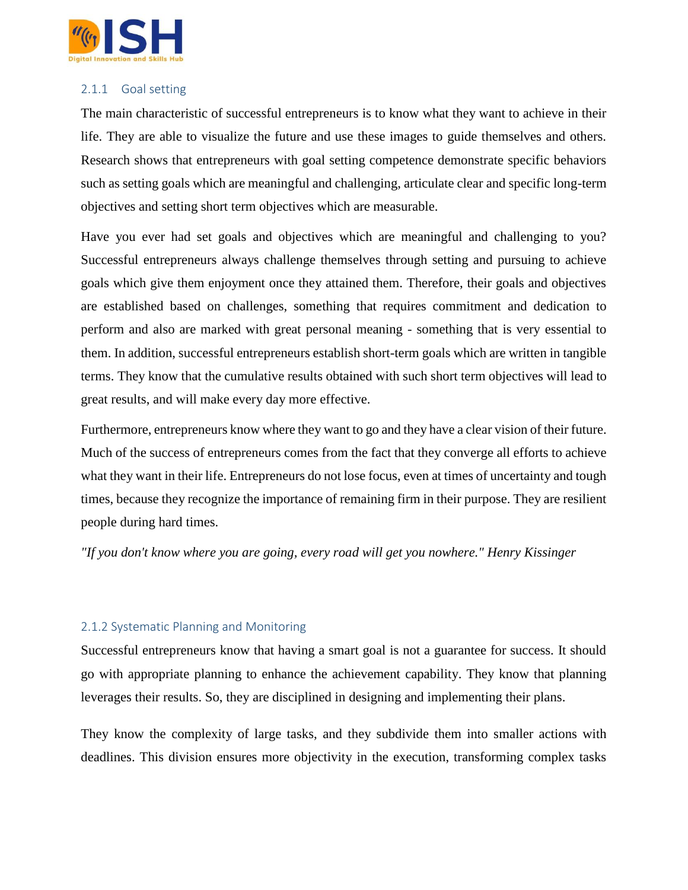

## 2.1.1 Goal setting

The main characteristic of successful entrepreneurs is to know what they want to achieve in their life. They are able to visualize the future and use these images to guide themselves and others. Research shows that entrepreneurs with goal setting competence demonstrate specific behaviors such as setting goals which are meaningful and challenging, articulate clear and specific long-term objectives and setting short term objectives which are measurable.

Have you ever had set goals and objectives which are meaningful and challenging to you? Successful entrepreneurs always challenge themselves through setting and pursuing to achieve goals which give them enjoyment once they attained them. Therefore, their goals and objectives are established based on challenges, something that requires commitment and dedication to perform and also are marked with great personal meaning - something that is very essential to them. In addition, successful entrepreneurs establish short-term goals which are written in tangible terms. They know that the cumulative results obtained with such short term objectives will lead to great results, and will make every day more effective.

Furthermore, entrepreneurs know where they want to go and they have a clear vision of their future. Much of the success of entrepreneurs comes from the fact that they converge all efforts to achieve what they want in their life. Entrepreneurs do not lose focus, even at times of uncertainty and tough times, because they recognize the importance of remaining firm in their purpose. They are resilient people during hard times.

*"If you don't know where you are going, every road will get you nowhere." Henry Kissinger*

# 2.1.2 Systematic Planning and Monitoring

Successful entrepreneurs know that having a smart goal is not a guarantee for success. It should go with appropriate planning to enhance the achievement capability. They know that planning leverages their results. So, they are disciplined in designing and implementing their plans.

They know the complexity of large tasks, and they subdivide them into smaller actions with deadlines. This division ensures more objectivity in the execution, transforming complex tasks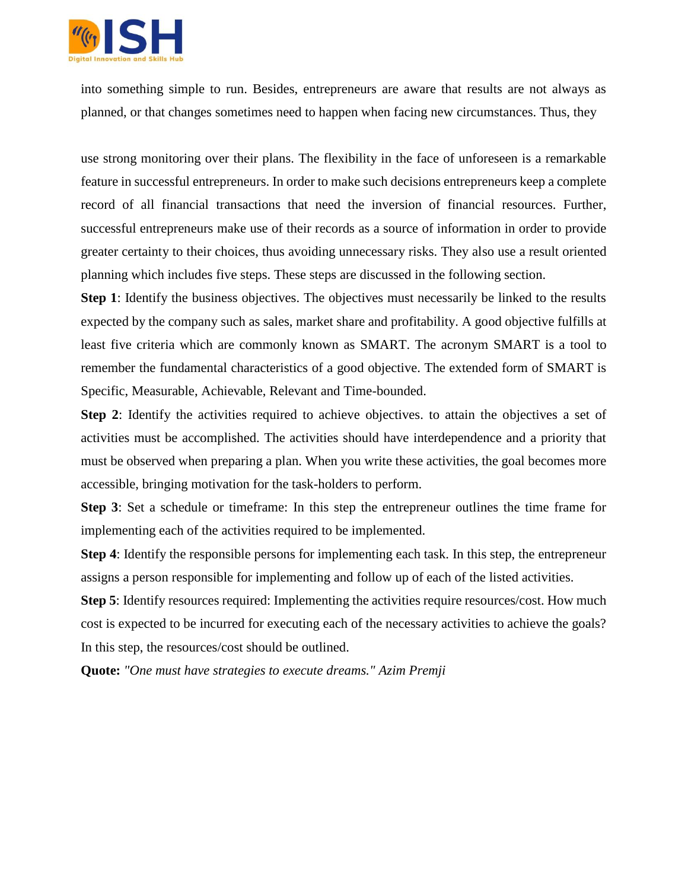

into something simple to run. Besides, entrepreneurs are aware that results are not always as planned, or that changes sometimes need to happen when facing new circumstances. Thus, they

use strong monitoring over their plans. The flexibility in the face of unforeseen is a remarkable feature in successful entrepreneurs. In order to make such decisions entrepreneurs keep a complete record of all financial transactions that need the inversion of financial resources. Further, successful entrepreneurs make use of their records as a source of information in order to provide greater certainty to their choices, thus avoiding unnecessary risks. They also use a result oriented planning which includes five steps. These steps are discussed in the following section.

**Step 1**: Identify the business objectives. The objectives must necessarily be linked to the results expected by the company such as sales, market share and profitability. A good objective fulfills at least five criteria which are commonly known as SMART. The acronym SMART is a tool to remember the fundamental characteristics of a good objective. The extended form of SMART is Specific, Measurable, Achievable, Relevant and Time-bounded.

**Step 2**: Identify the activities required to achieve objectives, to attain the objectives a set of activities must be accomplished. The activities should have interdependence and a priority that must be observed when preparing a plan. When you write these activities, the goal becomes more accessible, bringing motivation for the task-holders to perform.

**Step 3**: Set a schedule or timeframe: In this step the entrepreneur outlines the time frame for implementing each of the activities required to be implemented.

**Step 4**: Identify the responsible persons for implementing each task. In this step, the entrepreneur assigns a person responsible for implementing and follow up of each of the listed activities.

**Step 5**: Identify resources required: Implementing the activities require resources/cost. How much cost is expected to be incurred for executing each of the necessary activities to achieve the goals? In this step, the resources/cost should be outlined.

**Quote:** *"One must have strategies to execute dreams." Azim Premji*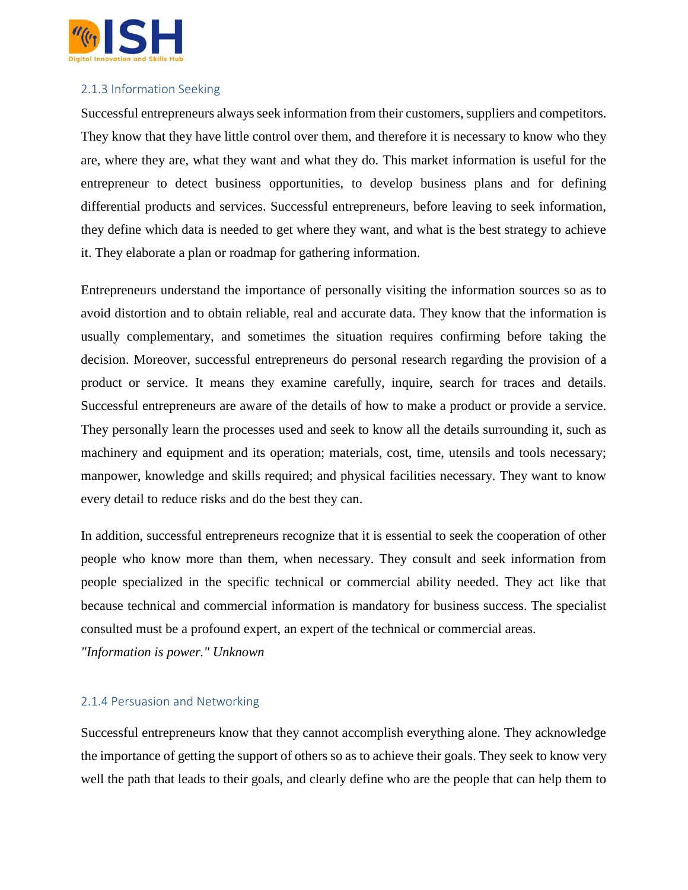

# 2.1.3 Information Seeking

Successful entrepreneurs always seek information from their customers, suppliers and competitors. They know that they have little control over them, and therefore it is necessary to know who they are, where they are, what they want and what they do. This market information is useful for the entrepreneur to detect business opportunities, to develop business plans and for defining differential products and services. Successful entrepreneurs, before leaving to seek information, they define which data is needed to get where they want, and what is the best strategy to achieve it. They elaborate a plan or roadmap for gathering information.

Entrepreneurs understand the importance of personally visiting the information sources so as to avoid distortion and to obtain reliable, real and accurate data. They know that the information is usually complementary, and sometimes the situation requires confirming before taking the decision. Moreover, successful entrepreneurs do personal research regarding the provision of a product or service. It means they examine carefully, inquire, search for traces and details. Successful entrepreneurs are aware of the details of how to make a product or provide a service. They personally learn the processes used and seek to know all the details surrounding it, such as machinery and equipment and its operation; materials, cost, time, utensils and tools necessary; manpower, knowledge and skills required; and physical facilities necessary. They want to know every detail to reduce risks and do the best they can.

In addition, successful entrepreneurs recognize that it is essential to seek the cooperation of other people who know more than them, when necessary. They consult and seek information from people specialized in the specific technical or commercial ability needed. They act like that because technical and commercial information is mandatory for business success. The specialist consulted must be a profound expert, an expert of the technical or commercial areas.

*"Information is power." Unknown*

#### 2.1.4 Persuasion and Networking

Successful entrepreneurs know that they cannot accomplish everything alone. They acknowledge the importance of getting the support of others so as to achieve their goals. They seek to know very well the path that leads to their goals, and clearly define who are the people that can help them to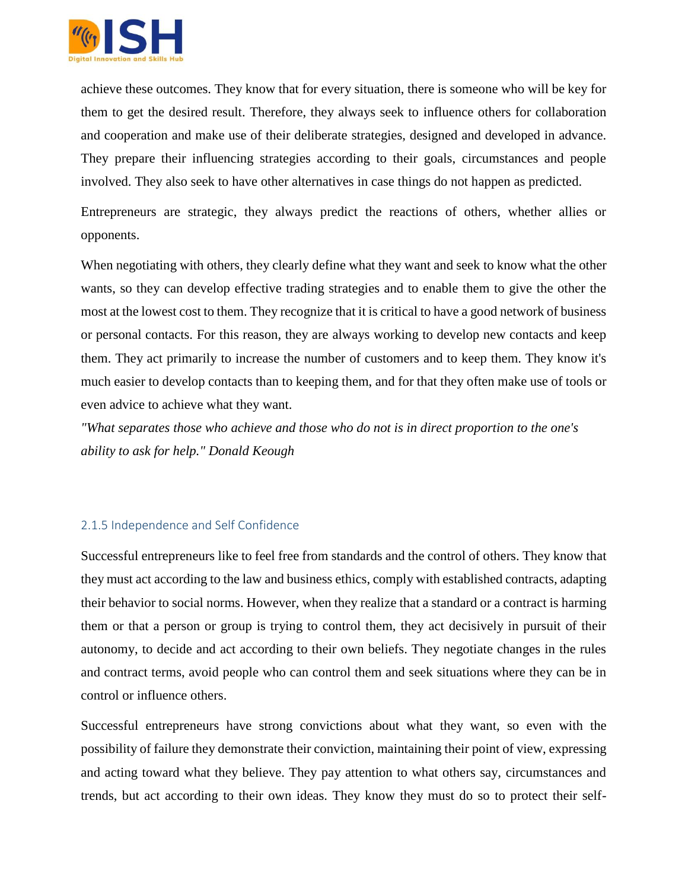

achieve these outcomes. They know that for every situation, there is someone who will be key for them to get the desired result. Therefore, they always seek to influence others for collaboration and cooperation and make use of their deliberate strategies, designed and developed in advance. They prepare their influencing strategies according to their goals, circumstances and people involved. They also seek to have other alternatives in case things do not happen as predicted.

Entrepreneurs are strategic, they always predict the reactions of others, whether allies or opponents.

When negotiating with others, they clearly define what they want and seek to know what the other wants, so they can develop effective trading strategies and to enable them to give the other the most at the lowest cost to them. They recognize that it is critical to have a good network of business or personal contacts. For this reason, they are always working to develop new contacts and keep them. They act primarily to increase the number of customers and to keep them. They know it's much easier to develop contacts than to keeping them, and for that they often make use of tools or even advice to achieve what they want.

*"What separates those who achieve and those who do not is in direct proportion to the one's ability to ask for help." Donald Keough*

# 2.1.5 Independence and Self Confidence

Successful entrepreneurs like to feel free from standards and the control of others. They know that they must act according to the law and business ethics, comply with established contracts, adapting their behavior to social norms. However, when they realize that a standard or a contract is harming them or that a person or group is trying to control them, they act decisively in pursuit of their autonomy, to decide and act according to their own beliefs. They negotiate changes in the rules and contract terms, avoid people who can control them and seek situations where they can be in control or influence others.

Successful entrepreneurs have strong convictions about what they want, so even with the possibility of failure they demonstrate their conviction, maintaining their point of view, expressing and acting toward what they believe. They pay attention to what others say, circumstances and trends, but act according to their own ideas. They know they must do so to protect their self-